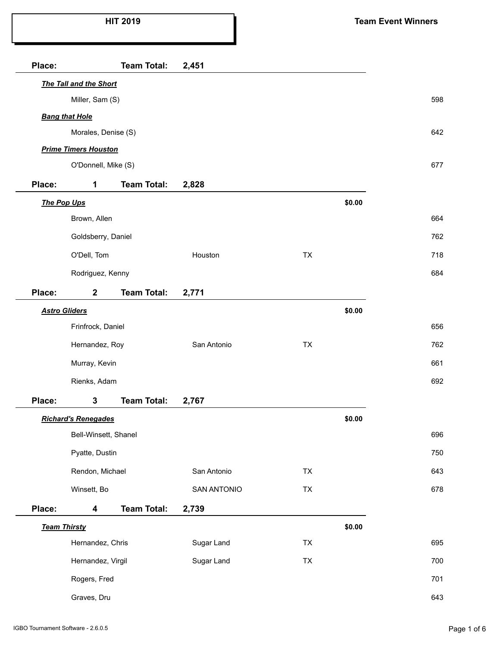| Place: |                             | <b>Team Total:</b> | 2,451              |           |        |     |
|--------|-----------------------------|--------------------|--------------------|-----------|--------|-----|
|        | The Tall and the Short      |                    |                    |           |        |     |
|        | Miller, Sam (S)             |                    |                    |           |        | 598 |
|        | <b>Bang that Hole</b>       |                    |                    |           |        |     |
|        | Morales, Denise (S)         |                    |                    |           |        | 642 |
|        | <b>Prime Timers Houston</b> |                    |                    |           |        |     |
|        | O'Donnell, Mike (S)         |                    |                    |           |        | 677 |
| Place: | $\mathbf 1$                 | <b>Team Total:</b> | 2,828              |           |        |     |
|        | The Pop Ups                 |                    |                    |           | \$0.00 |     |
|        | Brown, Allen                |                    |                    |           |        | 664 |
|        | Goldsberry, Daniel          |                    |                    |           |        | 762 |
|        | O'Dell, Tom                 |                    | Houston            | <b>TX</b> |        | 718 |
|        | Rodriguez, Kenny            |                    |                    |           |        | 684 |
| Place: | $\mathbf{2}$                | <b>Team Total:</b> | 2,771              |           |        |     |
|        | <b>Astro Gliders</b>        |                    |                    |           | \$0.00 |     |
|        | Frinfrock, Daniel           |                    |                    |           |        | 656 |
|        | Hernandez, Roy              |                    | San Antonio        | <b>TX</b> |        | 762 |
|        | Murray, Kevin               |                    |                    |           |        | 661 |
|        | Rienks, Adam                |                    |                    |           |        | 692 |
| Place: | 3                           | <b>Team Total:</b> | 2,767              |           |        |     |
|        | <b>Richard's Renegades</b>  |                    |                    |           | \$0.00 |     |
|        | Bell-Winsett, Shanel        |                    |                    |           |        | 696 |
|        | Pyatte, Dustin              |                    |                    |           |        | 750 |
|        | Rendon, Michael             |                    | San Antonio        | <b>TX</b> |        | 643 |
|        | Winsett, Bo                 |                    | <b>SAN ANTONIO</b> | TX        |        | 678 |
| Place: | 4                           | <b>Team Total:</b> | 2,739              |           |        |     |
|        | <b>Team Thirsty</b>         |                    |                    |           | \$0.00 |     |
|        | Hernandez, Chris            |                    | Sugar Land         | TX        |        | 695 |
|        | Hernandez, Virgil           |                    | Sugar Land         | TX        |        | 700 |
|        | Rogers, Fred                |                    |                    |           |        | 701 |
|        | Graves, Dru                 |                    |                    |           |        | 643 |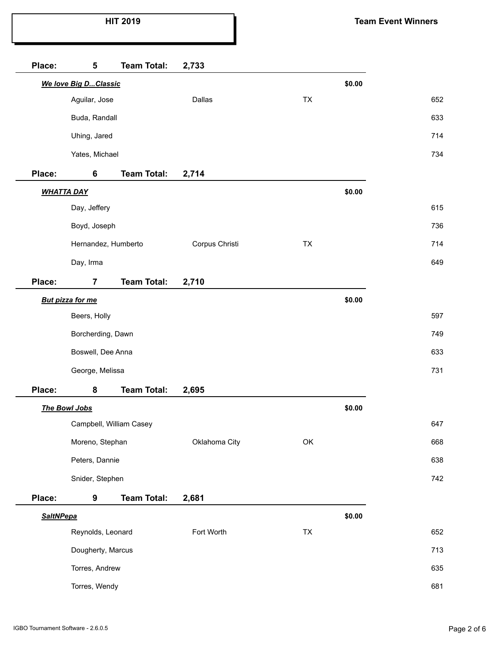| Place:           | 5                       | <b>Team Total:</b>      | 2,733          |           |        |  |
|------------------|-------------------------|-------------------------|----------------|-----------|--------|--|
|                  | We love Big DClassic    |                         |                |           | \$0.00 |  |
|                  | Aguilar, Jose           |                         | Dallas         | <b>TX</b> |        |  |
|                  | Buda, Randall           |                         |                |           |        |  |
|                  | Uhing, Jared            |                         |                |           |        |  |
|                  | Yates, Michael          |                         |                |           |        |  |
| Place:           | 6                       | <b>Team Total:</b>      | 2,714          |           |        |  |
|                  | <b>WHATTA DAY</b>       |                         |                |           | \$0.00 |  |
|                  | Day, Jeffery            |                         |                |           |        |  |
|                  | Boyd, Joseph            |                         |                |           |        |  |
|                  | Hernandez, Humberto     |                         | Corpus Christi | TX        |        |  |
|                  | Day, Irma               |                         |                |           |        |  |
| Place:           | $\overline{7}$          | <b>Team Total:</b>      | 2,710          |           |        |  |
|                  | <b>But pizza for me</b> |                         |                |           | \$0.00 |  |
|                  | Beers, Holly            |                         |                |           |        |  |
|                  | Borcherding, Dawn       |                         |                |           |        |  |
|                  | Boswell, Dee Anna       |                         |                |           |        |  |
|                  | George, Melissa         |                         |                |           |        |  |
| Place:           | 8                       | <b>Team Total:</b>      | 2,695          |           |        |  |
|                  | The Bowl Jobs           |                         |                |           | \$0.00 |  |
|                  |                         | Campbell, William Casey |                |           |        |  |
|                  | Moreno, Stephan         |                         | Oklahoma City  | OK        |        |  |
|                  | Peters, Dannie          |                         |                |           |        |  |
|                  | Snider, Stephen         |                         |                |           |        |  |
| Place:           | 9                       | <b>Team Total:</b>      | 2,681          |           |        |  |
| <b>SaltNPepa</b> |                         |                         |                | \$0.00    |        |  |
|                  | Reynolds, Leonard       |                         | Fort Worth     | TX        |        |  |
|                  | Dougherty, Marcus       |                         |                |           |        |  |
|                  | Torres, Andrew          |                         |                |           |        |  |
|                  | Torres, Wendy           |                         |                |           |        |  |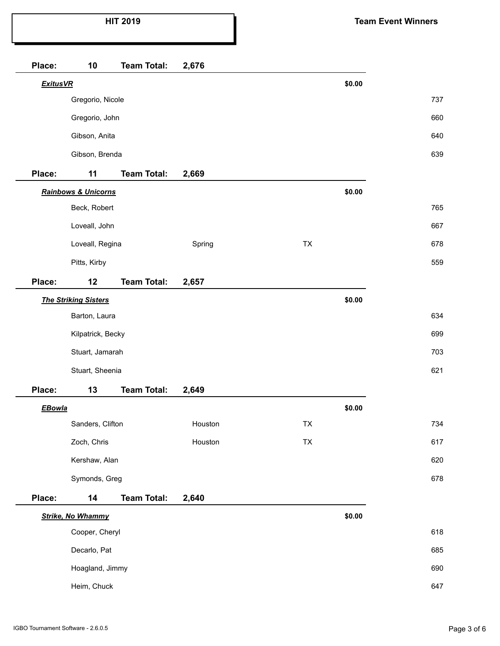| Place:          | 10                          | <b>Team Total:</b> | 2,676   |            |        |  |
|-----------------|-----------------------------|--------------------|---------|------------|--------|--|
| <b>ExitusVR</b> |                             |                    |         |            | \$0.00 |  |
|                 | Gregorio, Nicole            |                    |         |            |        |  |
|                 | Gregorio, John              |                    |         |            |        |  |
|                 | Gibson, Anita               |                    |         |            |        |  |
|                 | Gibson, Brenda              |                    |         |            |        |  |
| Place:          | 11                          | <b>Team Total:</b> | 2,669   |            |        |  |
|                 | Rainbows & Unicorns         |                    |         |            | \$0.00 |  |
|                 | Beck, Robert                |                    |         |            |        |  |
|                 | Loveall, John               |                    |         |            |        |  |
|                 | Loveall, Regina             |                    | Spring  | TX         |        |  |
|                 | Pitts, Kirby                |                    |         |            |        |  |
| Place:          | 12                          | <b>Team Total:</b> | 2,657   |            |        |  |
|                 | <b>The Striking Sisters</b> |                    |         |            | \$0.00 |  |
|                 | Barton, Laura               |                    |         |            |        |  |
|                 | Kilpatrick, Becky           |                    |         |            |        |  |
|                 | Stuart, Jamarah             |                    |         |            |        |  |
|                 | Stuart, Sheenia             |                    |         |            |        |  |
| Place:          | 13                          | <b>Team Total:</b> | 2,649   |            |        |  |
| <b>EBowla</b>   |                             |                    |         |            | \$0.00 |  |
|                 | Sanders, Clifton            |                    | Houston | TX         |        |  |
|                 | Zoch, Chris                 |                    | Houston | ${\sf TX}$ |        |  |
|                 | Kershaw, Alan               |                    |         |            |        |  |
|                 | Symonds, Greg               |                    |         |            |        |  |
| Place:          | 14                          | <b>Team Total:</b> | 2,640   |            |        |  |
|                 | <b>Strike, No Whammy</b>    |                    |         |            | \$0.00 |  |
|                 | Cooper, Cheryl              |                    |         |            |        |  |
|                 | Decarlo, Pat                |                    |         |            |        |  |
|                 | Hoagland, Jimmy             |                    |         |            |        |  |
|                 | Heim, Chuck                 |                    |         |            |        |  |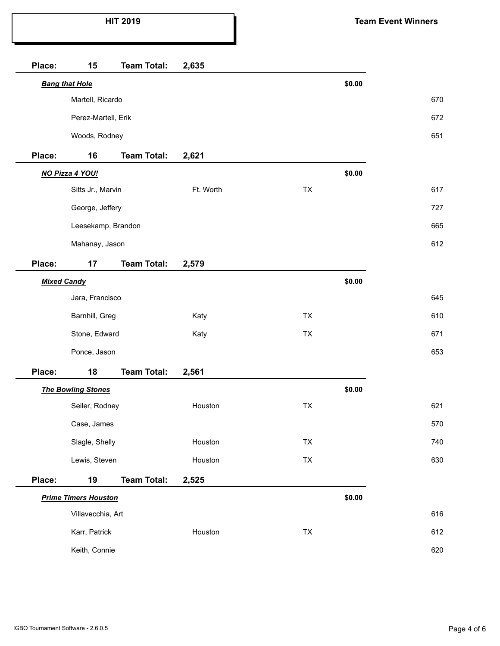| Place:             | 15                          | <b>Team Total:</b> | 2,635     |            |        |     |
|--------------------|-----------------------------|--------------------|-----------|------------|--------|-----|
|                    | <b>Bang that Hole</b>       |                    |           |            | \$0.00 |     |
|                    | Martell, Ricardo            |                    |           |            |        | 670 |
|                    | Perez-Martell, Erik         |                    |           |            |        | 672 |
|                    | Woods, Rodney               |                    |           |            |        | 651 |
| Place:             | 16                          | <b>Team Total:</b> | 2,621     |            |        |     |
|                    | NO Pizza 4 YOU!             |                    |           |            | \$0.00 |     |
|                    | Sitts Jr., Marvin           |                    | Ft. Worth | <b>TX</b>  |        | 617 |
|                    | George, Jeffery             |                    |           |            |        | 727 |
|                    | Leesekamp, Brandon          |                    |           |            |        | 665 |
|                    | Mahanay, Jason              |                    |           |            |        | 612 |
| Place:             | 17                          | <b>Team Total:</b> | 2,579     |            |        |     |
| <b>Mixed Candy</b> |                             |                    |           |            | \$0.00 |     |
|                    | Jara, Francisco             |                    |           |            |        | 645 |
|                    | Barnhill, Greg              |                    | Katy      | <b>TX</b>  |        | 610 |
|                    | Stone, Edward               |                    | Katy      | <b>TX</b>  |        | 671 |
|                    | Ponce, Jason                |                    |           |            |        | 653 |
| Place:             | 18                          | <b>Team Total:</b> | 2,561     |            |        |     |
|                    | <b>The Bowling Stones</b>   |                    |           |            | \$0.00 |     |
|                    | Seiler, Rodney              |                    | Houston   | <b>TX</b>  |        | 621 |
|                    | Case, James                 |                    |           |            |        | 570 |
|                    | Slagle, Shelly              |                    | Houston   | <b>TX</b>  |        | 740 |
|                    | Lewis, Steven               |                    | Houston   | ${\sf TX}$ |        | 630 |
| Place:             | 19                          | <b>Team Total:</b> | 2,525     |            |        |     |
|                    | <b>Prime Timers Houston</b> |                    |           |            | \$0.00 |     |
|                    | Villavecchia, Art           |                    |           |            |        | 616 |
|                    | Karr, Patrick               |                    | Houston   | TX         |        | 612 |
| Keith, Connie      |                             |                    |           |            |        | 620 |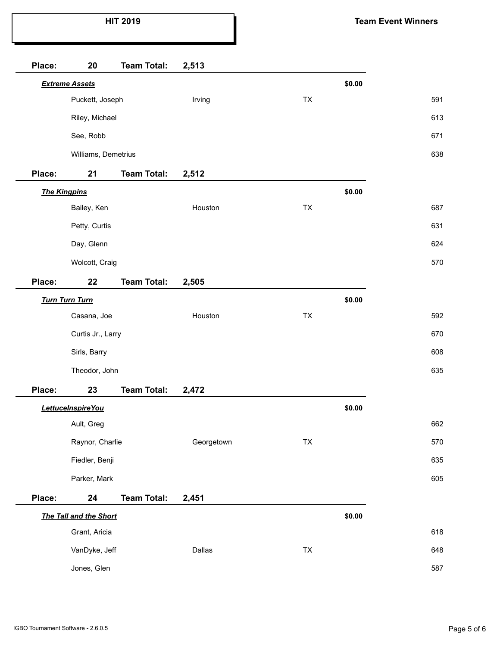| Place: | 20                     | <b>Team Total:</b> | 2,513      |            |        |
|--------|------------------------|--------------------|------------|------------|--------|
|        | <b>Extreme Assets</b>  |                    |            |            | \$0.00 |
|        | Puckett, Joseph        |                    | Irving     | TX         |        |
|        | Riley, Michael         |                    |            |            |        |
|        | See, Robb              |                    |            |            |        |
|        | Williams, Demetrius    |                    |            |            |        |
| Place: | 21                     | <b>Team Total:</b> | 2,512      |            |        |
|        | <b>The Kingpins</b>    |                    |            |            | \$0.00 |
|        | Bailey, Ken            |                    | Houston    | TX         |        |
|        | Petty, Curtis          |                    |            |            |        |
|        | Day, Glenn             |                    |            |            |        |
|        | Wolcott, Craig         |                    |            |            |        |
| Place: | 22                     | <b>Team Total:</b> | 2,505      |            |        |
|        | <b>Turn Turn Turn</b>  |                    |            |            | \$0.00 |
|        | Casana, Joe            |                    | Houston    | TX         |        |
|        | Curtis Jr., Larry      |                    |            |            |        |
|        | Sirls, Barry           |                    |            |            |        |
|        | Theodor, John          |                    |            |            |        |
| Place: | 23                     | <b>Team Total:</b> | 2,472      |            |        |
|        | LettuceInspireYou      |                    |            |            | \$0.00 |
|        | Ault, Greg             |                    |            |            |        |
|        | Raynor, Charlie        |                    | Georgetown | ${\sf TX}$ |        |
|        | Fiedler, Benji         |                    |            |            |        |
|        | Parker, Mark           |                    |            |            |        |
| Place: | 24                     | <b>Team Total:</b> | 2,451      |            |        |
|        | The Tall and the Short |                    |            |            | \$0.00 |
|        | Grant, Aricia          |                    |            |            |        |
|        | VanDyke, Jeff          |                    | Dallas     | ${\sf TX}$ |        |
|        | Jones, Glen            |                    |            |            |        |